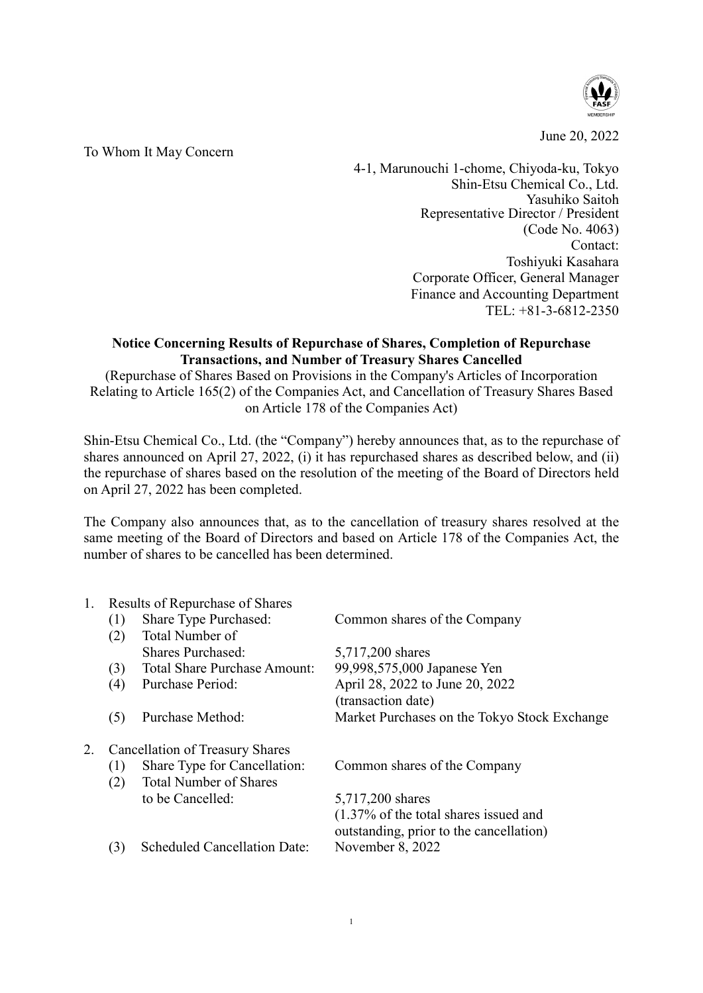

June 20, 2022

## To Whom It May Concern

4-1, Marunouchi 1-chome, Chiyoda-ku, Tokyo Shin-Etsu Chemical Co., Ltd. Yasuhiko Saitoh Representative Director / President (Code No. 4063) Contact: Toshiyuki Kasahara Corporate Officer, General Manager Finance and Accounting Department TEL: +81-3-6812-2350

## **Notice Concerning Results of Repurchase of Shares, Completion of Repurchase Transactions, and Number of Treasury Shares Cancelled**

(Repurchase of Shares Based on Provisions in the Company's Articles of Incorporation Relating to Article 165(2) of the Companies Act, and Cancellation of Treasury Shares Based on Article 178 of the Companies Act)

Shin-Etsu Chemical Co., Ltd. (the "Company") hereby announces that, as to the repurchase of shares announced on April 27, 2022, (i) it has repurchased shares as described below, and (ii) the repurchase of shares based on the resolution of the meeting of the Board of Directors held on April 27, 2022 has been completed.

The Company also announces that, as to the cancellation of treasury shares resolved at the same meeting of the Board of Directors and based on Article 178 of the Companies Act, the number of shares to be cancelled has been determined.

| 1. | Results of Repurchase of Shares |                                     |                                                   |  |
|----|---------------------------------|-------------------------------------|---------------------------------------------------|--|
|    | (1)                             | Share Type Purchased:               | Common shares of the Company                      |  |
|    | (2)                             | Total Number of                     |                                                   |  |
|    |                                 | Shares Purchased:                   | 5,717,200 shares                                  |  |
|    | (3)                             | <b>Total Share Purchase Amount:</b> | 99,998,575,000 Japanese Yen                       |  |
|    | (4)                             | Purchase Period:                    | April 28, 2022 to June 20, 2022                   |  |
|    |                                 |                                     | (transaction date)                                |  |
|    | (5)                             | Purchase Method:                    | Market Purchases on the Tokyo Stock Exchange      |  |
| 2. | Cancellation of Treasury Shares |                                     |                                                   |  |
|    | (1)                             | Share Type for Cancellation:        | Common shares of the Company                      |  |
|    | (2)                             | <b>Total Number of Shares</b>       |                                                   |  |
|    |                                 | to be Cancelled:                    | 5,717,200 shares                                  |  |
|    |                                 |                                     | $(1.37\% \text{ of the total shares issued and})$ |  |
|    |                                 |                                     | outstanding, prior to the cancellation)           |  |
|    | (3)                             | <b>Scheduled Cancellation Date:</b> | November 8, 2022                                  |  |
|    |                                 |                                     |                                                   |  |